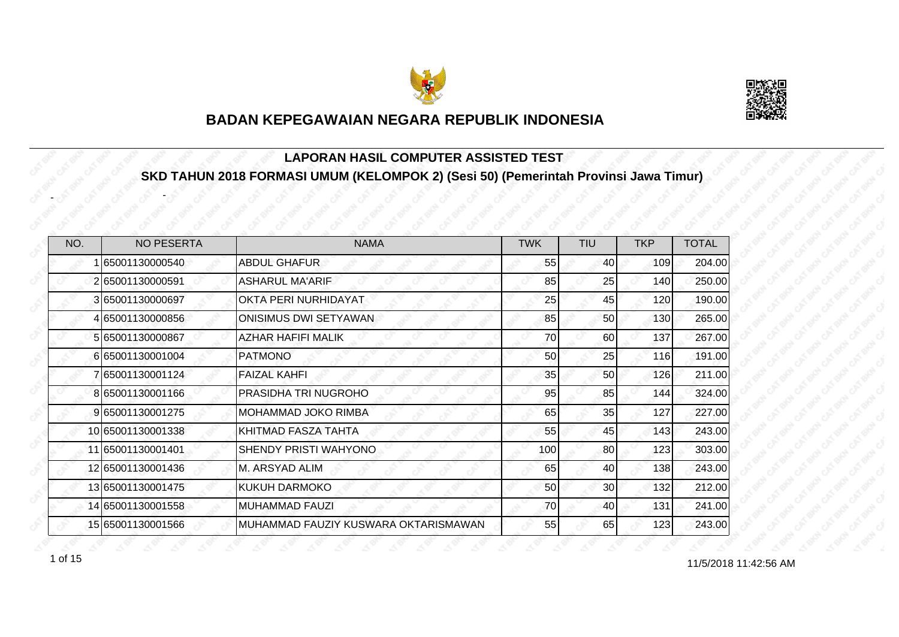



## **LAPORAN HASIL COMPUTER ASSISTED TEST SKD TAHUN 2018 FORMASI UMUM (KELOMPOK 2) (Sesi 50) (Pemerintah Provinsi Jawa Timur)**

| NO. | <b>NO PESERTA</b> | <b>NAMA</b>                          | <b>TWK</b> | <b>TIU</b>      | <b>TKP</b> | <b>TOTAL</b> |
|-----|-------------------|--------------------------------------|------------|-----------------|------------|--------------|
|     | 1 65001130000540  | <b>ABDUL GHAFUR</b>                  | 55         | 40 <sub>l</sub> | 109        | 204.00       |
|     | 265001130000591   | <b>ASHARUL MA'ARIF</b>               | 85         | 25              | 140        | 250.00       |
|     | 365001130000697   | OKTA PERI NURHIDAYAT                 | 25         | 45              | 120        | 190.00       |
|     | 465001130000856   | ONISIMUS DWI SETYAWAN                | 85         | 50              | 130        | 265.00       |
|     | 5 65001130000867  | <b>AZHAR HAFIFI MALIK</b>            | 70         | 60              | 137        | 267.00       |
|     | 665001130001004   | <b>PATMONO</b>                       | 50         | 25              | 116        | 191.00       |
|     | 7 65001130001124  | <b>FAIZAL KAHFI</b>                  | 35         | 50              | 126        | 211.00       |
|     | 865001130001166   | PRASIDHA TRI NUGROHO                 | 95         | 85              | 144        | 324.00       |
|     | 9 65001130001275  | <b>MOHAMMAD JOKO RIMBA</b>           | 65         | 35              | 127        | 227.00       |
|     | 10 65001130001338 | KHITMAD FASZA TAHTA                  | 55         | 45              | 143        | 243.00       |
|     | 11 65001130001401 | SHENDY PRISTI WAHYONO                | 100        | 80              | 123        | 303.00       |
|     | 12 65001130001436 | M. ARSYAD ALIM                       | 65         | 40              | 138        | 243.00       |
|     | 13 65001130001475 | <b>KUKUH DARMOKO</b>                 | 50         | 30 <sup>1</sup> | 132        | 212.00       |
|     | 14 65001130001558 | <b>MUHAMMAD FAUZI</b>                | 70         | 40              | 131        | 241.00       |
|     | 15 65001130001566 | MUHAMMAD FAUZIY KUSWARA OKTARISMAWAN | 55         | 65              | 123        | 243.00       |

-

-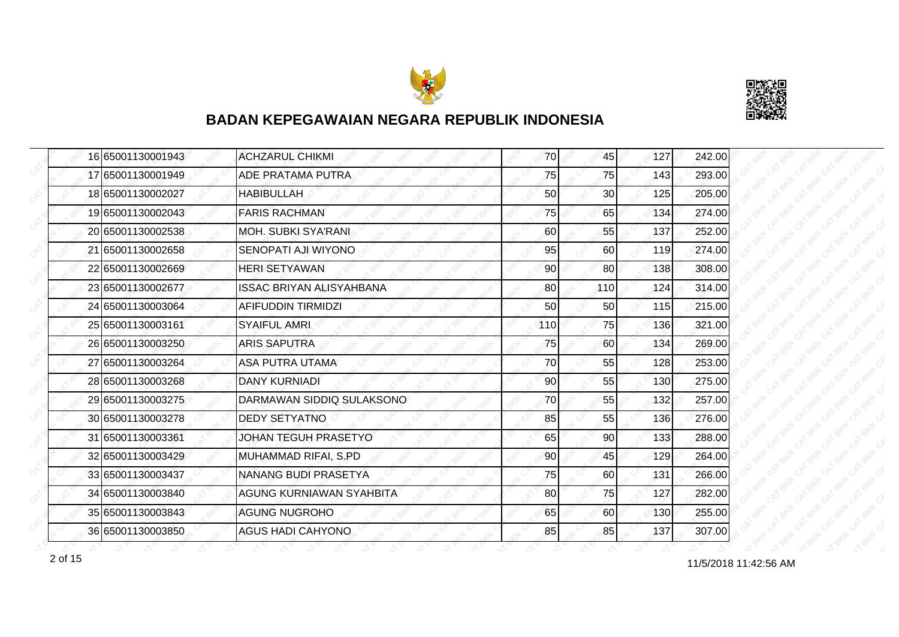



| 16 65001130001943 | <b>ACHZARUL CHIKMI</b>          | 70              | 45  | 127 | 242.00 |
|-------------------|---------------------------------|-----------------|-----|-----|--------|
| 17 65001130001949 | ADE PRATAMA PUTRA               | 75              | 75  | 143 | 293.00 |
| 18 65001130002027 | <b>HABIBULLAH</b>               | 50              | 30  | 125 | 205.00 |
| 19 65001130002043 | <b>FARIS RACHMAN</b>            | 75              | 65  | 134 | 274.00 |
| 20 65001130002538 | <b>MOH. SUBKI SYA'RANI</b>      | 60              | 55  | 137 | 252.00 |
| 21 65001130002658 | SENOPATI AJI WIYONO             | 95              | 60  | 119 | 274.00 |
| 22 65001130002669 | <b>HERI SETYAWAN</b>            | 90              | 80  | 138 | 308.00 |
| 23 65001130002677 | <b>ISSAC BRIYAN ALISYAHBANA</b> | 80              | 110 | 124 | 314.00 |
| 24 65001130003064 | AFIFUDDIN TIRMIDZI              | 50              | 50  | 115 | 215.00 |
| 25 65001130003161 | <b>SYAIFUL AMRI</b>             | 110             | 75  | 136 | 321.00 |
| 26 65001130003250 | <b>ARIS SAPUTRA</b>             | 75              | 60  | 134 | 269.00 |
| 27 65001130003264 | ASA PUTRA UTAMA                 | 70              | 55  | 128 | 253.00 |
| 28 65001130003268 | <b>DANY KURNIADI</b>            | 90              | 55  | 130 | 275.00 |
| 29 65001130003275 | DARMAWAN SIDDIQ SULAKSONO       | 70              | 55  | 132 | 257.00 |
| 30 65001130003278 | <b>DEDY SETYATNO</b>            | 85              | 55  | 136 | 276.00 |
| 31 65001130003361 | JOHAN TEGUH PRASETYO            | 65              | 90  | 133 | 288.00 |
| 32 65001130003429 | MUHAMMAD RIFAI, S.PD            | 90              | 45  | 129 | 264.00 |
| 33 65001130003437 | <b>NANANG BUDI PRASETYA</b>     | 75              | 60  | 131 | 266.00 |
| 34 65001130003840 | AGUNG KURNIAWAN SYAHBITA        | 80 <sup>1</sup> | 75  | 127 | 282.00 |
| 35 65001130003843 | <b>AGUNG NUGROHO</b>            | 65              | 60  | 130 | 255.00 |
| 36 65001130003850 | <b>AGUS HADI CAHYONO</b>        | 85              | 85  | 137 | 307.00 |

11/5/2018 11:42:56 AM 2 of 15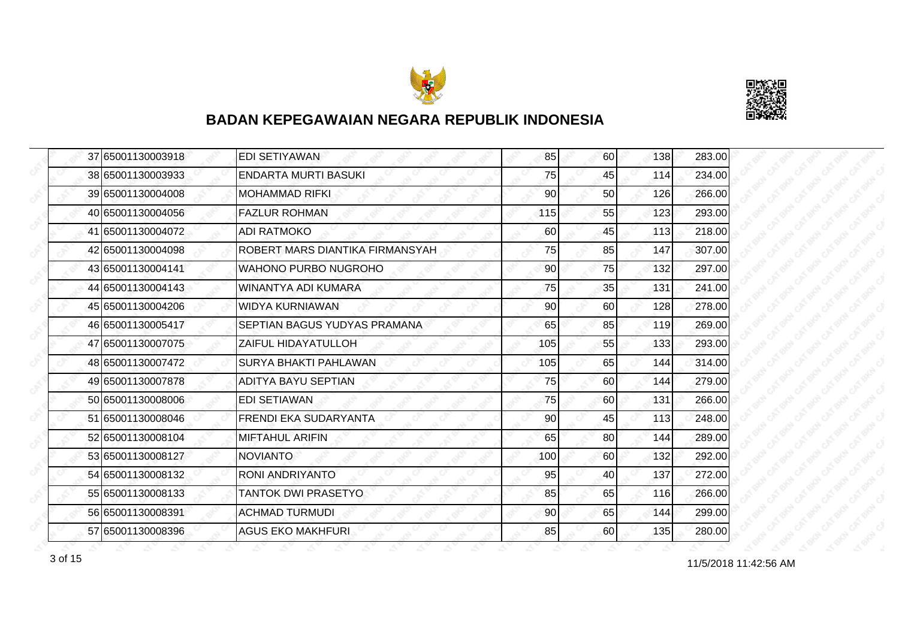



| 37 65001130003918 | EDI SETIYAWAN                   | 85  | 60 | 138 | 283.00 |
|-------------------|---------------------------------|-----|----|-----|--------|
| 38 65001130003933 | <b>ENDARTA MURTI BASUKI</b>     | 75  | 45 | 114 | 234.00 |
| 39 65001130004008 | <b>MOHAMMAD RIFKL</b>           | 90  | 50 | 126 | 266.00 |
| 40 65001130004056 | <b>FAZLUR ROHMAN</b>            | 115 | 55 | 123 | 293.00 |
| 41 65001130004072 | <b>ADI RATMOKO</b>              | 60  | 45 | 113 | 218.00 |
| 42 65001130004098 | ROBERT MARS DIANTIKA FIRMANSYAH | 75  | 85 | 147 | 307.00 |
| 43 65001130004141 | <b>WAHONO PURBO NUGROHO</b>     | 90  | 75 | 132 | 297.00 |
| 44 65001130004143 | WINANTYA ADI KUMARA             | 75  | 35 | 131 | 241.00 |
| 45 65001130004206 | <b>WIDYA KURNIAWAN</b>          | 90  | 60 | 128 | 278.00 |
| 46 65001130005417 | SEPTIAN BAGUS YUDYAS PRAMANA    | 65  | 85 | 119 | 269.00 |
| 47 65001130007075 | ZAIFUL HIDAYATULLOH             | 105 | 55 | 133 | 293.00 |
| 48 65001130007472 | <b>SURYA BHAKTI PAHLAWAN</b>    | 105 | 65 | 144 | 314.00 |
| 49 65001130007878 | <b>ADITYA BAYU SEPTIAN</b>      | 75  | 60 | 144 | 279.00 |
| 50 65001130008006 | <b>EDI SETIAWAN</b>             | 75  | 60 | 131 | 266.00 |
| 51 65001130008046 | <b>FRENDI EKA SUDARYANTA</b>    | 90  | 45 | 113 | 248.00 |
| 52 65001130008104 | <b>MIFTAHUL ARIFIN</b>          | 65  | 80 | 144 | 289.00 |
| 53 65001130008127 | <b>NOVIANTO</b>                 | 100 | 60 | 132 | 292.00 |
| 54 65001130008132 | RONI ANDRIYANTO                 | 95  | 40 | 137 | 272.00 |
| 55 65001130008133 | <b>TANTOK DWI PRASETYO</b>      | 85  | 65 | 116 | 266.00 |
| 56 65001130008391 | <b>ACHMAD TURMUDI</b>           | 90  | 65 | 144 | 299.00 |
| 57 65001130008396 | <b>AGUS EKO MAKHFURI</b>        | 85  | 60 | 135 | 280.00 |

11/5/2018 11:42:56 AM 3 of 15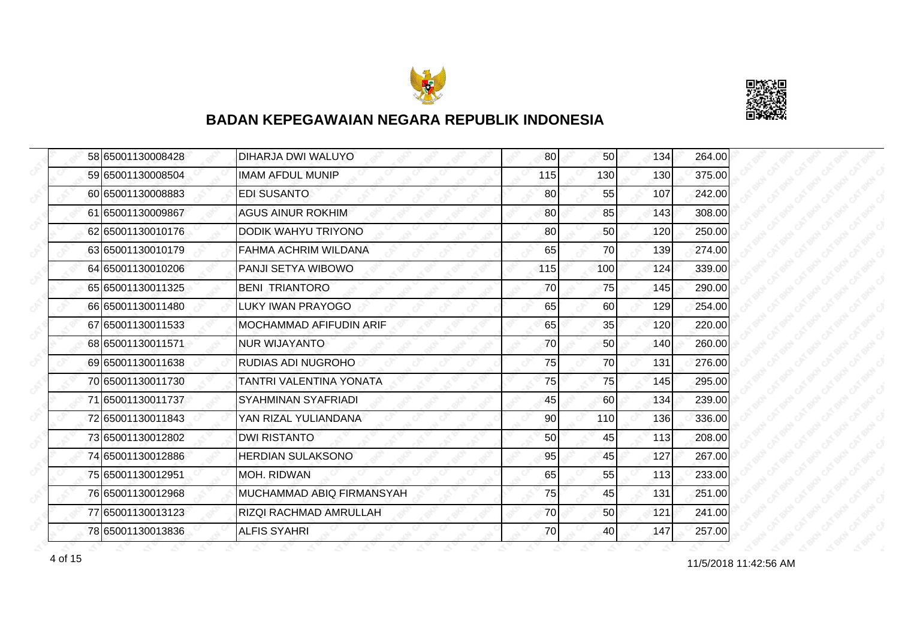



|  | 58 65001130008428 | DIHARJA DWI WALUYO        | 80  | 50  | 134 | 264.00 |
|--|-------------------|---------------------------|-----|-----|-----|--------|
|  | 59 65001130008504 | <b>IMAM AFDUL MUNIP</b>   | 115 | 130 | 130 | 375.00 |
|  | 60 65001130008883 | <b>EDI SUSANTO</b>        | 80  | 55  | 107 | 242.00 |
|  | 61 65001130009867 | <b>AGUS AINUR ROKHIM</b>  | 80  | 85  | 143 | 308.00 |
|  | 62 65001130010176 | DODIK WAHYU TRIYONO       | 80  | 50  | 120 | 250.00 |
|  | 63 65001130010179 | FAHMA ACHRIM WILDANA      | 65  | 70  | 139 | 274.00 |
|  | 64 65001130010206 | PANJI SETYA WIBOWO        | 115 | 100 | 124 | 339.00 |
|  | 65 65001130011325 | <b>BENI TRIANTORO</b>     | 70  | 75  | 145 | 290.00 |
|  | 66 65001130011480 | LUKY IWAN PRAYOGO         | 65  | 60  | 129 | 254.00 |
|  | 67 65001130011533 | MOCHAMMAD AFIFUDIN ARIF   | 65  | 35  | 120 | 220.00 |
|  | 68 65001130011571 | NUR WIJAYANTO             | 70  | 50  | 140 | 260.00 |
|  | 69 65001130011638 | RUDIAS ADI NUGROHO        | 75  | 70  | 131 | 276.00 |
|  | 70 65001130011730 | TANTRI VALENTINA YONATA   | 75  | 75  | 145 | 295.00 |
|  | 71 65001130011737 | SYAHMINAN SYAFRIADI       | 45  | 60  | 134 | 239.00 |
|  | 72 65001130011843 | YAN RIZAL YULIANDANA      | 90  | 110 | 136 | 336.00 |
|  | 73 65001130012802 | <b>DWI RISTANTO</b>       | 50  | 45  | 113 | 208.00 |
|  | 74 65001130012886 | <b>HERDIAN SULAKSONO</b>  | 95  | 45  | 127 | 267.00 |
|  | 75 65001130012951 | MOH. RIDWAN               | 65  | 55  | 113 | 233.00 |
|  | 76 65001130012968 | MUCHAMMAD ABIQ FIRMANSYAH | 75  | 45  | 131 | 251.00 |
|  | 77 65001130013123 | RIZQI RACHMAD AMRULLAH    | 70  | 50  | 121 | 241.00 |
|  | 78 65001130013836 | <b>ALFIS SYAHRI</b>       | 70  | 40  | 147 | 257.00 |

11/5/2018 11:42:56 AM 4 of 15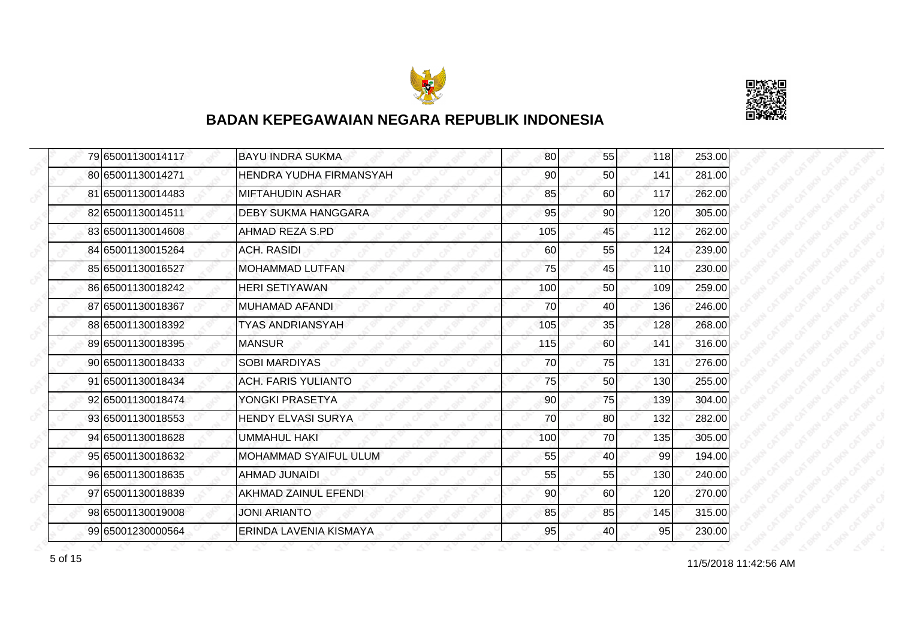



| 79 65001130014117 | <b>BAYU INDRA SUKMA</b>    | 80  | 55 | 118 | 253.00 |
|-------------------|----------------------------|-----|----|-----|--------|
| 80 65001130014271 | HENDRA YUDHA FIRMANSYAH    | 90  | 50 | 141 | 281.00 |
| 81 65001130014483 | <b>MIFTAHUDIN ASHAR</b>    | 85  | 60 | 117 | 262.00 |
| 82 65001130014511 | <b>DEBY SUKMA HANGGARA</b> | 95  | 90 | 120 | 305.00 |
| 83 65001130014608 | AHMAD REZA S.PD            | 105 | 45 | 112 | 262.00 |
| 84 65001130015264 | <b>ACH. RASIDI</b>         | 60  | 55 | 124 | 239.00 |
| 85 65001130016527 | <b>MOHAMMAD LUTFAN</b>     | 75  | 45 | 110 | 230.00 |
| 86 65001130018242 | <b>HERI SETIYAWAN</b>      | 100 | 50 | 109 | 259.00 |
| 87 65001130018367 | <b>MUHAMAD AFANDI</b>      | 70  | 40 | 136 | 246.00 |
| 88 65001130018392 | <b>TYAS ANDRIANSYAH</b>    | 105 | 35 | 128 | 268.00 |
| 89 65001130018395 | <b>MANSUR</b>              | 115 | 60 | 141 | 316.00 |
| 90 65001130018433 | <b>SOBI MARDIYAS</b>       | 70  | 75 | 131 | 276.00 |
| 91 65001130018434 | <b>ACH. FARIS YULIANTO</b> | 75  | 50 | 130 | 255.00 |
| 92 65001130018474 | YONGKI PRASETYA            | 90  | 75 | 139 | 304.00 |
| 93 65001130018553 | <b>HENDY ELVASI SURYA</b>  | 70  | 80 | 132 | 282.00 |
| 94 65001130018628 | UMMAHUL HAKI               | 100 | 70 | 135 | 305.00 |
| 95 65001130018632 | MOHAMMAD SYAIFUL ULUM      | 55  | 40 | 99  | 194.00 |
| 96 65001130018635 | <b>AHMAD JUNAIDI</b>       | 55  | 55 | 130 | 240.00 |
| 97 65001130018839 | AKHMAD ZAINUL EFENDI       | 90  | 60 | 120 | 270.00 |
| 98 65001130019008 | JONI ARIANTO               | 85  | 85 | 145 | 315.00 |
| 99 65001230000564 | ERINDA LAVENIA KISMAYA     | 95  | 40 | 95  | 230.00 |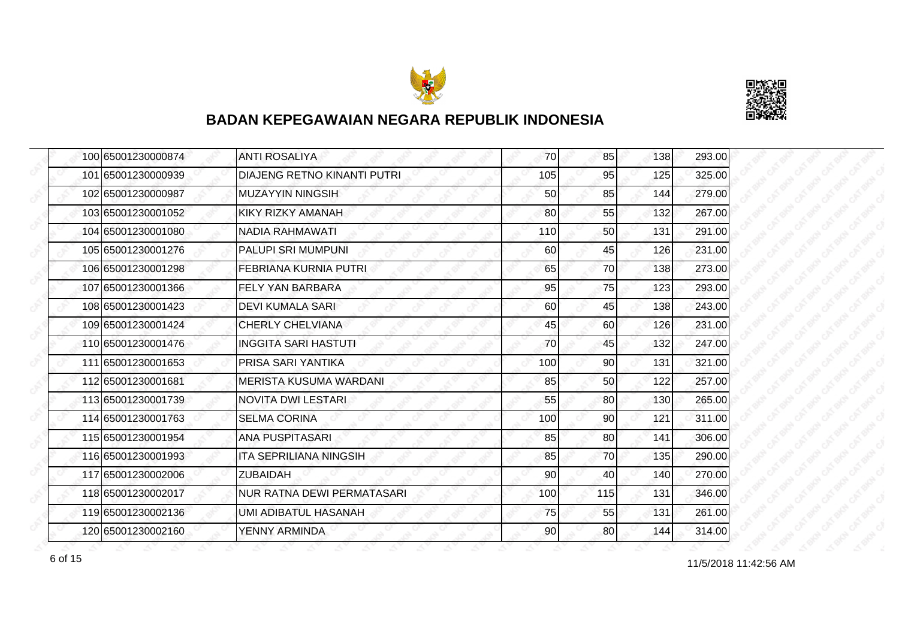



| 100 65001230000874 | <b>ANTI ROSALIYA</b>               | 70  | 85  | 138 | 293.00 |
|--------------------|------------------------------------|-----|-----|-----|--------|
| 101 65001230000939 | <b>DIAJENG RETNO KINANTI PUTRI</b> | 105 | 95  | 125 | 325.00 |
| 102 65001230000987 | <b>MUZAYYIN NINGSIH</b>            | 50  | 85  | 144 | 279.00 |
| 103 65001230001052 | KIKY RIZKY AMANAH                  | 80  | 55  | 132 | 267.00 |
| 104 65001230001080 | <b>NADIA RAHMAWATI</b>             | 110 | 50  | 131 | 291.00 |
| 105 65001230001276 | PALUPI SRI MUMPUNI                 | 60  | 45  | 126 | 231.00 |
| 106 65001230001298 | <b>FEBRIANA KURNIA PUTRI</b>       | 65  | 70  | 138 | 273.00 |
| 107 65001230001366 | <b>FELY YAN BARBARA</b>            | 95  | 75  | 123 | 293.00 |
| 108 65001230001423 | <b>DEVI KUMALA SARI</b>            | 60  | 45  | 138 | 243.00 |
| 109 65001230001424 | <b>CHERLY CHELVIANA</b>            | 45  | 60  | 126 | 231.00 |
| 110 65001230001476 | <b>INGGITA SARI HASTUTI</b>        | 70  | 45  | 132 | 247.00 |
| 111 65001230001653 | PRISA SARI YANTIKA                 | 100 | 90  | 131 | 321.00 |
| 112 65001230001681 | <b>MERISTA KUSUMA WARDANI</b>      | 85  | 50  | 122 | 257.00 |
| 113 65001230001739 | <b>NOVITA DWI LESTARI</b>          | 55  | 80  | 130 | 265.00 |
| 114 65001230001763 | <b>SELMA CORINA</b>                | 100 | 90  | 121 | 311.00 |
| 115 65001230001954 | <b>ANA PUSPITASARI</b>             | 85  | 80  | 141 | 306.00 |
| 116 65001230001993 | <b>ITA SEPRILIANA NINGSIH</b>      | 85  | 70  | 135 | 290.00 |
| 117 65001230002006 | <b>ZUBAIDAH</b>                    | 90  | 40  | 140 | 270.00 |
| 118 65001230002017 | <b>NUR RATNA DEWI PERMATASARI</b>  | 100 | 115 | 131 | 346.00 |
| 119 65001230002136 | UMI ADIBATUL HASANAH               | 75  | 55  | 131 | 261.00 |
| 120 65001230002160 | YENNY ARMINDA                      | 90  | 80  | 144 | 314.00 |

11/5/2018 11:42:56 AM 6 of 15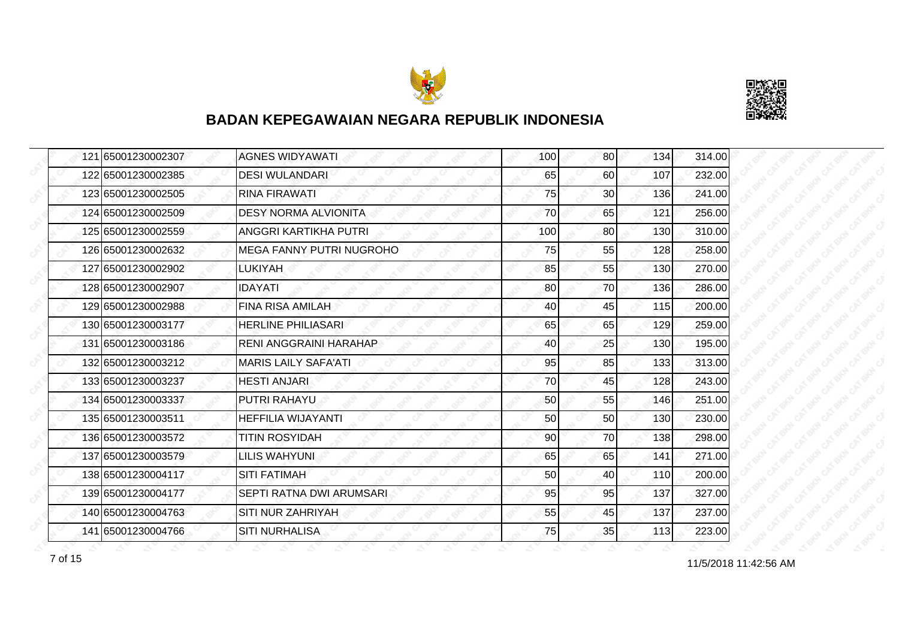



| 121 65001230002307 | <b>AGNES WIDYAWATI</b>      | 100 | 80              | 134 | 314.00 |
|--------------------|-----------------------------|-----|-----------------|-----|--------|
| 122 65001230002385 | <b>DESI WULANDARI</b>       | 65  | 60              | 107 | 232.00 |
| 123 65001230002505 | <b>RINA FIRAWATI</b>        | 75  | 30 <sup>°</sup> | 136 | 241.00 |
| 124 65001230002509 | <b>DESY NORMA ALVIONITA</b> | 70  | 65              | 121 | 256.00 |
| 125 65001230002559 | ANGGRI KARTIKHA PUTRI       | 100 | 80              | 130 | 310.00 |
| 126 65001230002632 | MEGA FANNY PUTRI NUGROHO    | 75  | 55              | 128 | 258.00 |
| 127 65001230002902 | <b>LUKIYAH</b>              | 85  | 55              | 130 | 270.00 |
| 128 65001230002907 | <b>IDAYATI</b>              | 80  | 70              | 136 | 286.00 |
| 129 65001230002988 | <b>FINA RISA AMILAH</b>     | 40  | 45              | 115 | 200.00 |
| 130 65001230003177 | <b>HERLINE PHILIASARI</b>   | 65  | 65              | 129 | 259.00 |
| 131 65001230003186 | RENI ANGGRAINI HARAHAP      | 40  | 25              | 130 | 195.00 |
| 132 65001230003212 | <b>MARIS LAILY SAFA'ATI</b> | 95  | 85              | 133 | 313.00 |
| 133 65001230003237 | <b>HESTI ANJARI</b>         | 70  | 45              | 128 | 243.00 |
| 134 65001230003337 | PUTRI RAHAYU                | 50  | 55              | 146 | 251.00 |
| 135 65001230003511 | HEFFILIA WIJAYANTI          | 50  | 50              | 130 | 230.00 |
| 136 65001230003572 | <b>TITIN ROSYIDAH</b>       | 90  | 70              | 138 | 298.00 |
| 137 65001230003579 | <b>LILIS WAHYUNI</b>        | 65  | 65              | 141 | 271.00 |
| 138 65001230004117 | <b>SITI FATIMAH</b>         | 50  | 40              | 110 | 200.00 |
| 139 65001230004177 | SEPTI RATNA DWI ARUMSARI    | 95  | 95              | 137 | 327.00 |
| 140 65001230004763 | SITI NUR ZAHRIYAH           | 55  | 45              | 137 | 237.00 |
| 141 65001230004766 | <b>SITI NURHALISA</b>       | 75  | 35              | 113 | 223.00 |

11/5/2018 11:42:56 AM 7 of 15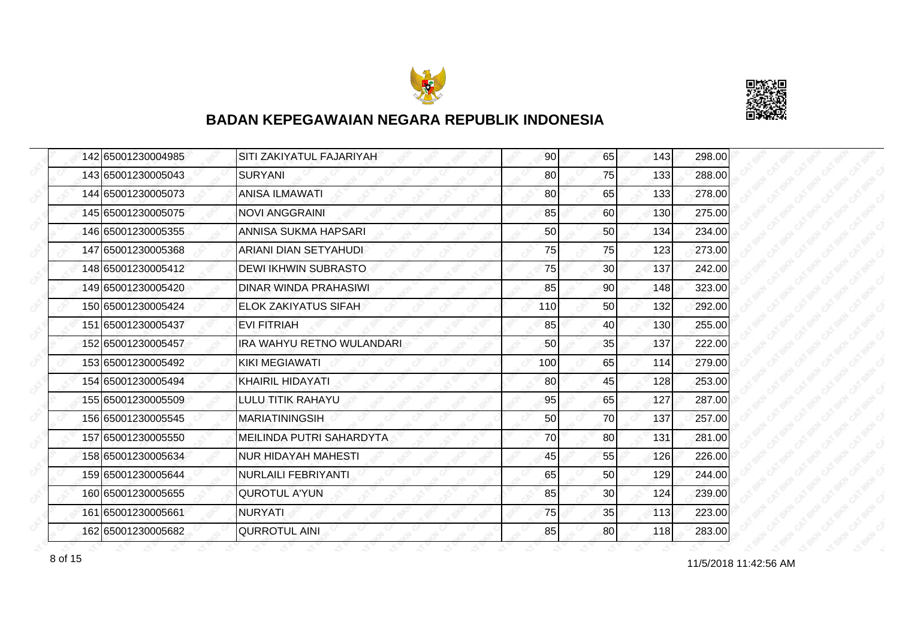



| 142 65001230004985 | SITI ZAKIYATUL FAJARIYAH    | 90  | 65              | 143 | 298.00 |
|--------------------|-----------------------------|-----|-----------------|-----|--------|
| 143 65001230005043 | <b>SURYANI</b>              | 80  | 75              | 133 | 288.00 |
| 144 65001230005073 | <b>ANISA ILMAWATI</b>       | 80  | 65              | 133 | 278.00 |
| 145165001230005075 | <b>NOVI ANGGRAINI</b>       | 85  | 60              | 130 | 275.00 |
| 146 65001230005355 | <b>ANNISA SUKMA HAPSARI</b> | 50  | 50              | 134 | 234.00 |
| 147 65001230005368 | ARIANI DIAN SETYAHUDI       | 75  | 75              | 123 | 273.00 |
| 148 65001230005412 | <b>DEWI IKHWIN SUBRASTO</b> | 75  | 30 <sub>0</sub> | 137 | 242.00 |
| 149 65001230005420 | DINAR WINDA PRAHASIWI       | 85  | 90              | 148 | 323.00 |
| 150 65001230005424 | <b>ELOK ZAKIYATUS SIFAH</b> | 110 | 50              | 132 | 292.00 |
| 151 65001230005437 | <b>EVI FITRIAH</b>          | 85  | 40              | 130 | 255.00 |
| 152 65001230005457 | IRA WAHYU RETNO WULANDARI   | 50  | 35              | 137 | 222.00 |
| 153 65001230005492 | <b>KIKI MEGIAWATI</b>       | 100 | 65              | 114 | 279.00 |
| 154 65001230005494 | <b>KHAIRIL HIDAYATI</b>     | 80  | 45              | 128 | 253.00 |
| 155 65001230005509 | LULU TITIK RAHAYU           | 95  | 65              | 127 | 287.00 |
| 156 65001230005545 | <b>MARIATININGSIH</b>       | 50  | 70              | 137 | 257.00 |
| 157 65001230005550 | MEILINDA PUTRI SAHARDYTA    | 70  | 80              | 131 | 281.00 |
| 158 65001230005634 | <b>NUR HIDAYAH MAHESTI</b>  | 45  | 55              | 126 | 226.00 |
| 159 65001230005644 | <b>NURLAILI FEBRIYANTI</b>  | 65  | 50              | 129 | 244.00 |
| 160 65001230005655 | <b>QUROTUL A'YUN</b>        | 85  | 30              | 124 | 239.00 |
| 161 65001230005661 | <b>NURYATI</b>              | 75  | 35              | 113 | 223.00 |
| 162 65001230005682 | <b>QURROTUL AINI</b>        | 85  | 80              | 118 | 283.00 |

11/5/2018 11:42:56 AM 8 of 15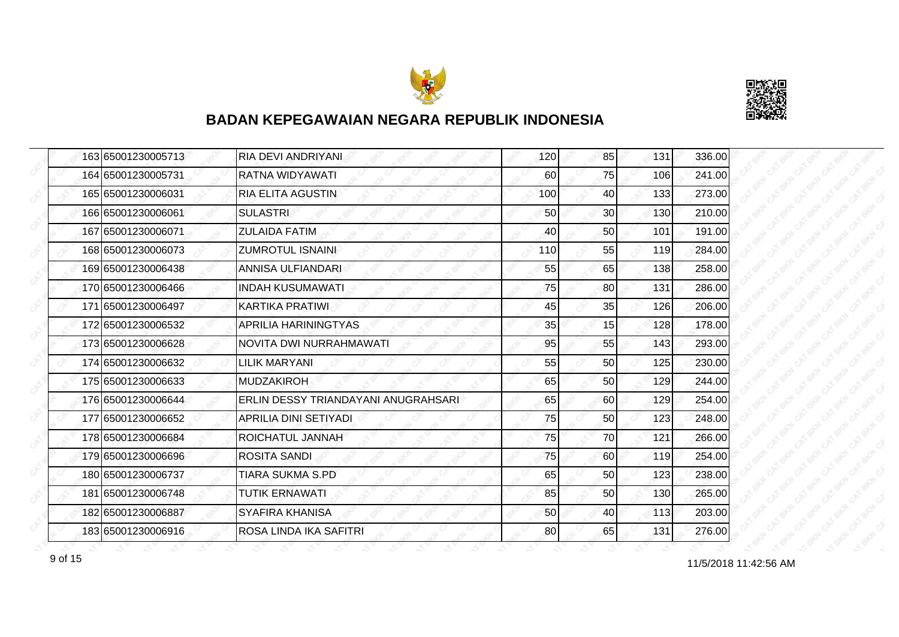



| 163 65001230005713 | RIA DEVI ANDRIYANI                  | 120 | 85              | 131 | 336.00 |
|--------------------|-------------------------------------|-----|-----------------|-----|--------|
| 164 65001230005731 | RATNA WIDYAWATI                     | 60  | 75              | 106 | 241.00 |
| 165 65001230006031 | <b>RIA ELITA AGUSTIN</b>            | 100 | 40              | 133 | 273.00 |
| 166 65001230006061 | <b>SULASTRI</b>                     | 50  | 30 <sup>1</sup> | 130 | 210.00 |
| 167 65001230006071 | <b>ZULAIDA FATIM</b>                | 40  | 50              | 101 | 191.00 |
| 168 65001230006073 | <b>ZUMROTUL ISNAINI</b>             | 110 | 55              | 119 | 284.00 |
| 169 65001230006438 | ANNISA ULFIANDARI                   | 55  | 65              | 138 | 258.00 |
| 170 65001230006466 | <b>INDAH KUSUMAWATI</b>             | 75  | 80              | 131 | 286.00 |
| 171 65001230006497 | KARTIKA PRATIWI                     | 45  | 35              | 126 | 206.00 |
| 172 65001230006532 | <b>APRILIA HARININGTYAS</b>         | 35  | 15              | 128 | 178.00 |
| 173 65001230006628 | NOVITA DWI NURRAHMAWATI             | 95  | 55              | 143 | 293.00 |
| 174 65001230006632 | <b>LILIK MARYANI</b>                | 55  | 50              | 125 | 230.00 |
| 175 65001230006633 | <b>MUDZAKIROH</b>                   | 65  | 50              | 129 | 244.00 |
| 176 65001230006644 | ERLIN DESSY TRIANDAYANI ANUGRAHSARI | 65  | 60              | 129 | 254.00 |
| 177 65001230006652 | APRILIA DINI SETIYADI               | 75  | 50              | 123 | 248.00 |
| 178 65001230006684 | ROICHATUL JANNAH                    | 75  | 70              | 121 | 266.00 |
| 179 65001230006696 | <b>ROSITA SANDI</b>                 | 75  | 60              | 119 | 254.00 |
| 180 65001230006737 | <b>TIARA SUKMA S.PD</b>             | 65  | 50              | 123 | 238.00 |
| 181 65001230006748 | <b>TUTIK ERNAWATI</b>               | 85  | 50              | 130 | 265.00 |
| 182 65001230006887 | <b>SYAFIRA KHANISA</b>              | 50  | 40              | 113 | 203.00 |
| 183 65001230006916 | ROSA LINDA IKA SAFITRI              | 80  | 65              | 131 | 276.00 |

11/5/2018 11:42:56 AM 9 of 15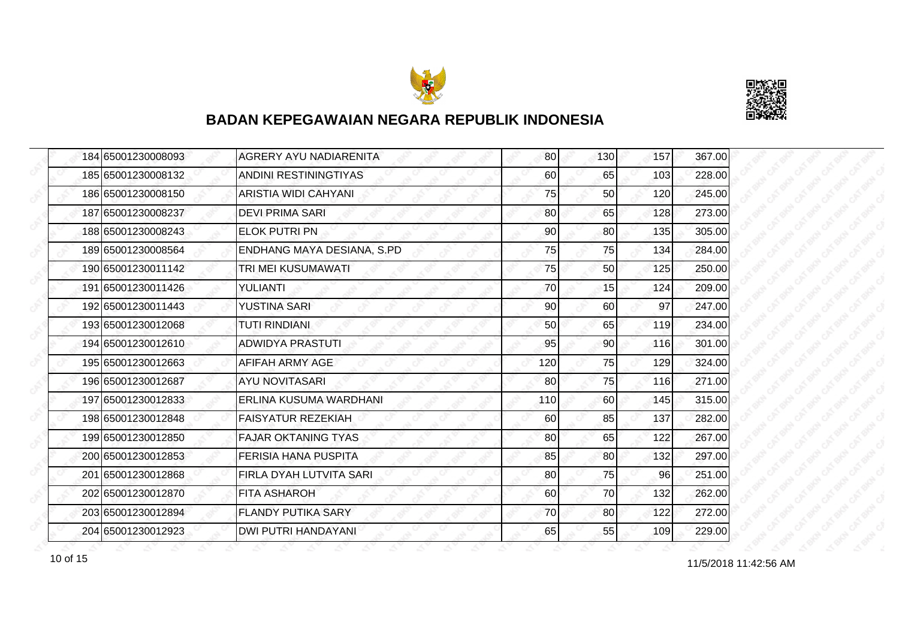



| 184 65001230008093   | <b>AGRERY AYU NADIARENITA</b>  | 80  | 130 | 157 | 367.00 |
|----------------------|--------------------------------|-----|-----|-----|--------|
| 185 65001230008132   | ANDINI RESTININGTIYAS          | 60  | 65  | 103 | 228.00 |
| 186 65001230008150   | ARISTIA WIDI CAHYANI           | 75  | 50  | 120 | 245.00 |
| 187 65001230008237   | <b>DEVI PRIMA SARI</b>         | 80  | 65  | 128 | 273.00 |
| 188 65001230008243   | <b>ELOK PUTRI PN</b>           | 90  | 80  | 135 | 305.00 |
| 189 65001230008564   | ENDHANG MAYA DESIANA, S.PD     | 75  | 75  | 134 | 284.00 |
| 190 6500 12300 11142 | TRI MEI KUSUMAWATI             | 75  | 50  | 125 | 250.00 |
| 191 65001230011426   | YULIANTI                       | 70  | 15  | 124 | 209.00 |
| 192 65001230011443   | <b>YUSTINA SARI</b>            | 90  | 60  | 97  | 247.00 |
| 193 65001230012068   | <b>TUTI RINDIANI</b>           | 50  | 65  | 119 | 234.00 |
| 194 65001230012610   | <b>ADWIDYA PRASTUTI</b>        | 95  | 90  | 116 | 301.00 |
| 195 65001230012663   | AFIFAH ARMY AGE                | 120 | 75  | 129 | 324.00 |
| 196 65001230012687   | <b>AYU NOVITASARI</b>          | 80  | 75  | 116 | 271.00 |
| 197 65001230012833   | ERLINA KUSUMA WARDHANI         | 110 | 60  | 145 | 315.00 |
| 198 65001230012848   | <b>FAISYATUR REZEKIAH</b>      | 60  | 85  | 137 | 282.00 |
| 199 65001230012850   | <b>FAJAR OKTANING TYAS</b>     | 80  | 65  | 122 | 267.00 |
| 200 65001230012853   | <b>FERISIA HANA PUSPITA</b>    | 85  | 80  | 132 | 297.00 |
| 201 65001230012868   | <b>FIRLA DYAH LUTVITA SARI</b> | 80  | 75  | 96  | 251.00 |
| 202 65001230012870   | <b>FITA ASHAROH</b>            | 60  | 70  | 132 | 262.00 |
| 203 65001230012894   | <b>FLANDY PUTIKA SARY</b>      | 70  | 80  | 122 | 272.00 |
| 204 65001230012923   | <b>DWI PUTRI HANDAYANI</b>     | 65  | 55  | 109 | 229.00 |

11/5/2018 11:42:56 AM 10 of 15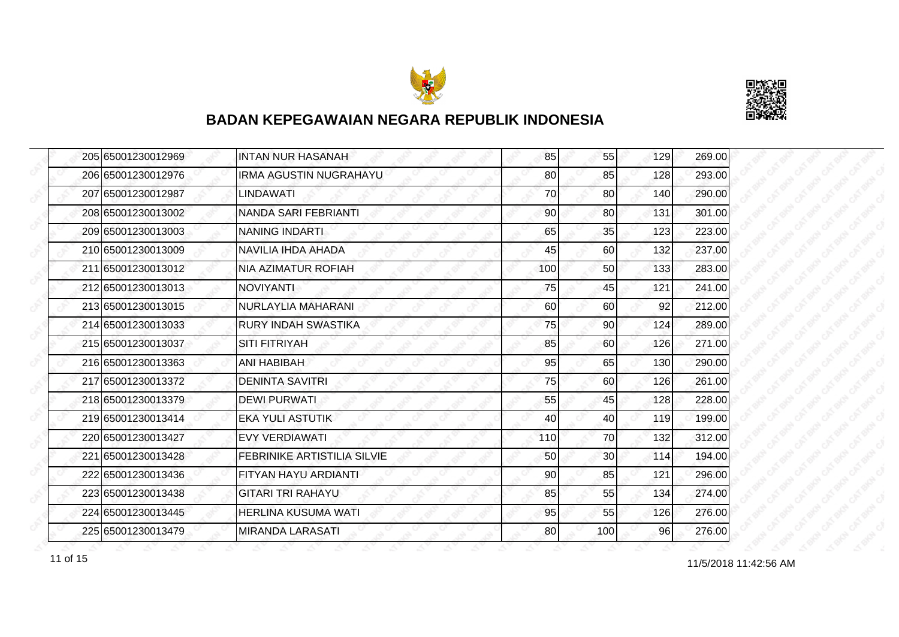



| 205 65001230012969 | <b>INTAN NUR HASANAH</b>    | 85  | 55  | 129 | 269.00 |
|--------------------|-----------------------------|-----|-----|-----|--------|
| 206 65001230012976 | IRMA AGUSTIN NUGRAHAYU      | 80  | 85  | 128 | 293.00 |
| 207 65001230012987 | LINDAWATI                   | 70  | 80  | 140 | 290.00 |
| 208 65001230013002 | NANDA SARI FEBRIANTI        | 90  | 80  | 131 | 301.00 |
| 209 65001230013003 | <b>NANING INDARTI</b>       | 65  | 35  | 123 | 223.00 |
| 210 65001230013009 | NAVILIA IHDA AHADA          | 45  | 60  | 132 | 237.00 |
| 211 65001230013012 | NIA AZIMATUR ROFIAH         | 100 | 50  | 133 | 283.00 |
| 212 65001230013013 | <b>NOVIYANTI</b>            | 75  | 45  | 121 | 241.00 |
| 213 65001230013015 | NURLAYLIA MAHARANI          | 60  | 60  | 92  | 212.00 |
| 214 65001230013033 | RURY INDAH SWASTIKA         | 75  | 90  | 124 | 289.00 |
| 215 65001230013037 | <b>SITI FITRIYAH</b>        | 85  | 60  | 126 | 271.00 |
| 216 65001230013363 | ANI HABIBAH                 | 95  | 65  | 130 | 290.00 |
| 217 65001230013372 | <b>DENINTA SAVITRI</b>      | 75  | 60  | 126 | 261.00 |
| 218 65001230013379 | DEWI PURWATI                | 55  | 45  | 128 | 228.00 |
| 219 65001230013414 | <b>EKA YULI ASTUTIK</b>     | 40  | 40  | 119 | 199.00 |
| 220 65001230013427 | <b>EVY VERDIAWATI</b>       | 110 | 70  | 132 | 312.00 |
| 221 65001230013428 | FEBRINIKE ARTISTILIA SILVIE | 50  | 30  | 114 | 194.00 |
| 222 65001230013436 | FITYAN HAYU ARDIANTI        | 90  | 85  | 121 | 296.00 |
| 223 65001230013438 | <b>GITARI TRI RAHAYU</b>    | 85  | 55  | 134 | 274.00 |
| 224 65001230013445 | HERLINA KUSUMA WATI         | 95  | 55  | 126 | 276.00 |
| 225 65001230013479 | <b>MIRANDA LARASATI</b>     | 80  | 100 | 96  | 276.00 |

11/5/2018 11:42:56 AM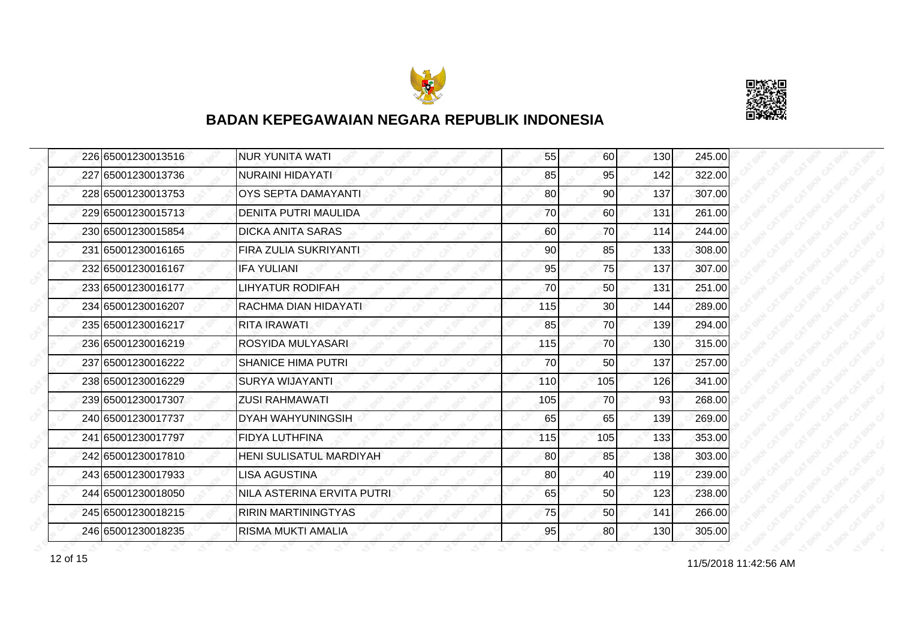



| 226 65001230013516 | <b>NUR YUNITA WATI</b>      | 55  | 60  | 130 | 245.00 |
|--------------------|-----------------------------|-----|-----|-----|--------|
| 227 65001230013736 | <b>NURAINI HIDAYATI</b>     | 85  | 95  | 142 | 322.00 |
| 228 65001230013753 | <b>OYS SEPTA DAMAYANTI</b>  | 80  | 90  | 137 | 307.00 |
| 229 65001230015713 | <b>DENITA PUTRI MAULIDA</b> | 70  | 60  | 131 | 261.00 |
| 230 65001230015854 | <b>DICKA ANITA SARAS</b>    | 60  | 70  | 114 | 244.00 |
| 231 65001230016165 | FIRA ZULIA SUKRIYANTI       | 90  | 85  | 133 | 308.00 |
| 232 65001230016167 | <b>IFA YULIANI</b>          | 95  | 75  | 137 | 307.00 |
| 233 65001230016177 | LIHYATUR RODIFAH            | 70  | 50  | 131 | 251.00 |
| 234 65001230016207 | RACHMA DIAN HIDAYATI        | 115 | 30  | 144 | 289.00 |
| 235 65001230016217 | <b>RITA IRAWATI</b>         | 85  | 70  | 139 | 294.00 |
| 236 65001230016219 | ROSYIDA MULYASARI           | 115 | 70  | 130 | 315.00 |
| 237 65001230016222 | <b>SHANICE HIMA PUTRI</b>   | 70  | 50  | 137 | 257.00 |
| 238 65001230016229 | <b>SURYA WIJAYANTI</b>      | 110 | 105 | 126 | 341.00 |
| 239 65001230017307 | <b>ZUSI RAHMAWATI</b>       | 105 | 70  | 93  | 268.00 |
| 240 65001230017737 | <b>DYAH WAHYUNINGSIH</b>    | 65  | 65  | 139 | 269.00 |
| 241 65001230017797 | <b>FIDYA LUTHFINA</b>       | 115 | 105 | 133 | 353.00 |
| 242 65001230017810 | HENI SULISATUL MARDIYAH     | 80  | 85  | 138 | 303.00 |
| 243 65001230017933 | <b>LISA AGUSTINA</b>        | 80  | 40  | 119 | 239.00 |
| 244 65001230018050 | NILA ASTERINA ERVITA PUTRI  | 65  | 50  | 123 | 238.00 |
| 245 65001230018215 | <b>RIRIN MARTININGTYAS</b>  | 75  | 50  | 141 | 266.00 |
| 246 65001230018235 | RISMA MUKTI AMALIA          | 95  | 80  | 130 | 305.00 |

11/5/2018 11:42:56 AM 12 of 15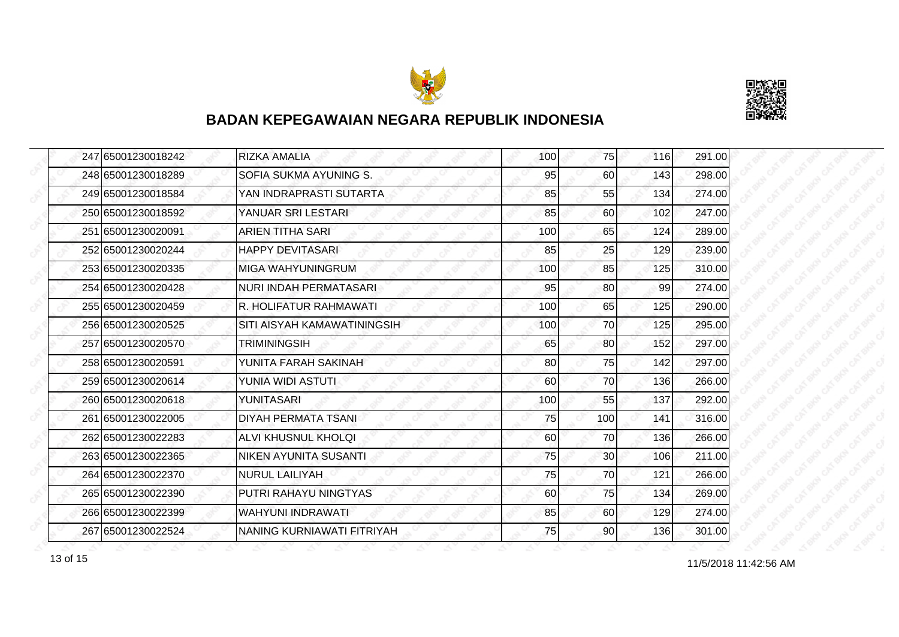



| 247 65001230018242 | IRIZKA AMALIA                 | 100 | 75  | 116 | 291.00 |
|--------------------|-------------------------------|-----|-----|-----|--------|
| 248 65001230018289 | SOFIA SUKMA AYUNING S.        | 95  | 60  | 143 | 298.00 |
| 249 65001230018584 | YAN INDRAPRASTI SUTARTA       | 85  | 55  | 134 | 274.00 |
| 250 65001230018592 | YANUAR SRI LESTARI            | 85  | 60  | 102 | 247.00 |
| 251 65001230020091 | <b>ARIEN TITHA SARI</b>       | 100 | 65  | 124 | 289.00 |
| 252 65001230020244 | <b>HAPPY DEVITASARI</b>       | 85  | 25  | 129 | 239.00 |
| 253 65001230020335 | IMIGA WAHYUNINGRUM            | 100 | 85  | 125 | 310.00 |
| 254 65001230020428 | <b>NURI INDAH PERMATASARI</b> | 95  | 80  | 99  | 274.00 |
| 255 65001230020459 | R. HOLIFATUR RAHMAWATI        | 100 | 65  | 125 | 290.00 |
| 256 65001230020525 | SITI AISYAH KAMAWATININGSIH   | 100 | 70  | 125 | 295.00 |
| 257 65001230020570 | TRIMININGSIH                  | 65  | 80  | 152 | 297.00 |
| 258 65001230020591 | YUNITA FARAH SAKINAH          | 80  | 75  | 142 | 297.00 |
| 259 65001230020614 | YUNIA WIDI ASTUTI             | 60  | 70  | 136 | 266.00 |
| 260 65001230020618 | YUNITASARI                    | 100 | 55  | 137 | 292.00 |
| 261 65001230022005 | <b>DIYAH PERMATA TSANI</b>    | 75  | 100 | 141 | 316.00 |
| 262 65001230022283 | ALVI KHUSNUL KHOLQI           | 60  | 70  | 136 | 266.00 |
| 263 65001230022365 | NIKEN AYUNITA SUSANTI         | 75  | 30  | 106 | 211.00 |
| 264 65001230022370 | <b>NURUL LAILIYAH</b>         | 75  | 70  | 121 | 266.00 |
| 265 65001230022390 | PUTRI RAHAYU NINGTYAS         | 60  | 75  | 134 | 269.00 |
| 266 65001230022399 | WAHYUNI INDRAWATI             | 85  | 60  | 129 | 274.00 |
| 267 65001230022524 | NANING KURNIAWATI FITRIYAH    | 75  | 90  | 136 | 301.00 |

11/5/2018 11:42:56 AM 13 of 15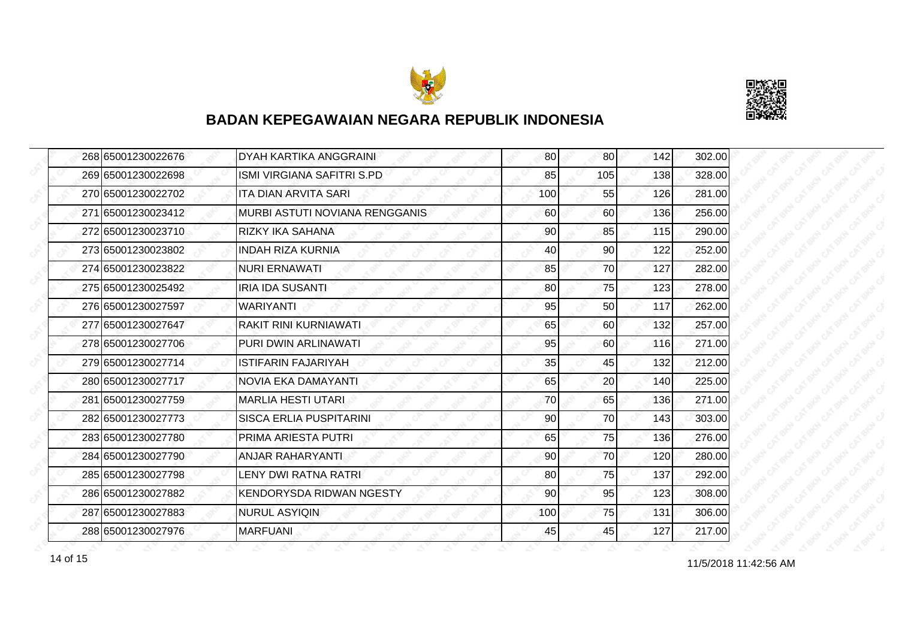



| 268 65001230022676 | DYAH KARTIKA ANGGRAINI          | 80              | 80              | 142 | 302.00 |
|--------------------|---------------------------------|-----------------|-----------------|-----|--------|
| 269 65001230022698 | ISMI VIRGIANA SAFITRI S.PD      | 85              | 105             | 138 | 328.00 |
| 270 65001230022702 | <b>ITA DIAN ARVITA SARI</b>     | 100             | 55              | 126 | 281.00 |
| 271 65001230023412 | MURBI ASTUTI NOVIANA RENGGANIS  | 60              | 60              | 136 | 256.00 |
| 272 65001230023710 | <b>RIZKY IKA SAHANA</b>         | 90              | 85              | 115 | 290.00 |
| 273 65001230023802 | <b>INDAH RIZA KURNIA</b>        | 40              | 90 <sub>0</sub> | 122 | 252.00 |
| 274 65001230023822 | <b>NURI ERNAWATI</b>            | 85              | 70              | 127 | 282.00 |
| 275 65001230025492 | <b>IRIA IDA SUSANTI</b>         | 80              | 75              | 123 | 278.00 |
| 276 65001230027597 | WARIYANTI                       | 95              | 50              | 117 | 262.00 |
| 277 65001230027647 | RAKIT RINI KURNIAWATI           | 65              | 60              | 132 | 257.00 |
| 278 65001230027706 | PURI DWIN ARLINAWATI            | 95              | <b>60</b>       | 116 | 271.00 |
| 279 65001230027714 | <b>ISTIFARIN FAJARIYAH</b>      | 35              | 45              | 132 | 212.00 |
| 280 65001230027717 | NOVIA EKA DAMAYANTI             | 65              | 20              | 140 | 225.00 |
| 281 65001230027759 | <b>MARLIA HESTI UTARI</b>       | 70              | 65              | 136 | 271.00 |
| 282 65001230027773 | <b>SISCA ERLIA PUSPITARINI</b>  | 90              | 70              | 143 | 303.00 |
| 283 65001230027780 | <b>PRIMA ARIESTA PUTRI</b>      | 65              | 75              | 136 | 276.00 |
| 284 65001230027790 | <b>ANJAR RAHARYANTI</b>         | 90              | 70              | 120 | 280.00 |
| 285 65001230027798 | <b>LENY DWI RATNA RATRI</b>     | 80              | 75              | 137 | 292.00 |
| 286 65001230027882 | <b>KENDORYSDA RIDWAN NGESTY</b> | 90 <sub>0</sub> | 95              | 123 | 308.00 |
| 287 65001230027883 | <b>NURUL ASYIQIN</b>            | 100             | 75              | 131 | 306.00 |
| 288 65001230027976 | <b>MARFUANI</b>                 | 45              | 45              | 127 | 217.00 |

14 of 15 and 11/5/2018 11:42:56 AM